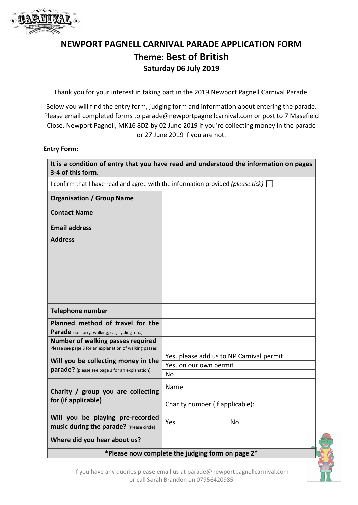

# **NEWPORT PAGNELL CARNIVAL PARADE APPLICATION FORM Theme: Best of British Saturday 06 July 2019**

Thank you for your interest in taking part in the 2019 Newport Pagnell Carnival Parade.

Below you will find the entry form, judging form and information about entering the parade. Please email completed forms to parade@newportpagnellcarnival.com or post to 7 Masefield Close, Newport Pagnell, MK16 8DZ by 02 June 2019 if you're collecting money in the parade or 27 June 2019 if you are not.

#### **Entry Form:**

| It is a condition of entry that you have read and understood the information on pages<br>3-4 of this form. |                                          |  |
|------------------------------------------------------------------------------------------------------------|------------------------------------------|--|
| I confirm that I have read and agree with the information provided (please tick) $\Box$                    |                                          |  |
| <b>Organisation / Group Name</b>                                                                           |                                          |  |
| <b>Contact Name</b>                                                                                        |                                          |  |
| <b>Email address</b>                                                                                       |                                          |  |
| <b>Address</b>                                                                                             |                                          |  |
|                                                                                                            |                                          |  |
|                                                                                                            |                                          |  |
|                                                                                                            |                                          |  |
|                                                                                                            |                                          |  |
| <b>Telephone number</b>                                                                                    |                                          |  |
| Planned method of travel for the                                                                           |                                          |  |
| Parade (i.e. lorry, walking, car, cycling etc.)<br>Number of walking passes required                       |                                          |  |
| Please see page 3 for an explanation of walking passes                                                     |                                          |  |
| Will you be collecting money in the<br>parade? (please see page 3 for an explanation)                      | Yes, please add us to NP Carnival permit |  |
|                                                                                                            | Yes, on our own permit                   |  |
|                                                                                                            | <b>No</b>                                |  |
| Charity / group you are collecting<br>for (if applicable)                                                  | Name:                                    |  |
|                                                                                                            | Charity number (if applicable):          |  |
| Will you be playing pre-recorded<br>music during the parade? (Please circle)                               | Yes<br><b>No</b>                         |  |
| Where did you hear about us?                                                                               |                                          |  |
| *Please now complete the judging form on page 2*                                                           |                                          |  |

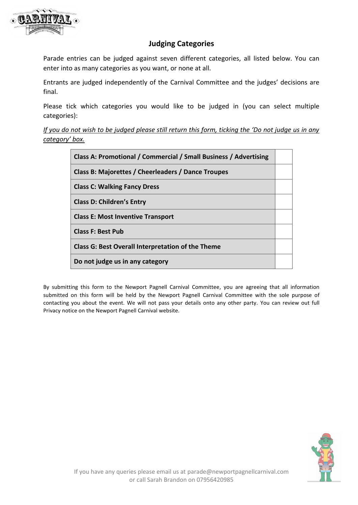

# **Judging Categories**

Parade entries can be judged against seven different categories, all listed below. You can enter into as many categories as you want, or none at all.

Entrants are judged independently of the Carnival Committee and the judges' decisions are final.

Please tick which categories you would like to be judged in (you can select multiple categories):

*If you do not wish to be judged please still return this form, ticking the 'Do not judge us in any category' box.*

| Class A: Promotional / Commercial / Small Business / Advertising |  |
|------------------------------------------------------------------|--|
| Class B: Majorettes / Cheerleaders / Dance Troupes               |  |
| <b>Class C: Walking Fancy Dress</b>                              |  |
| <b>Class D: Children's Entry</b>                                 |  |
| <b>Class E: Most Inventive Transport</b>                         |  |
| <b>Class F: Best Pub</b>                                         |  |
| <b>Class G: Best Overall Interpretation of the Theme</b>         |  |
| Do not judge us in any category                                  |  |

By submitting this form to the Newport Pagnell Carnival Committee, you are agreeing that all information submitted on this form will be held by the Newport Pagnell Carnival Committee with the sole purpose of contacting you about the event. We will not pass your details onto any other party. You can review out full Privacy notice on the Newport Pagnell Carnival website.

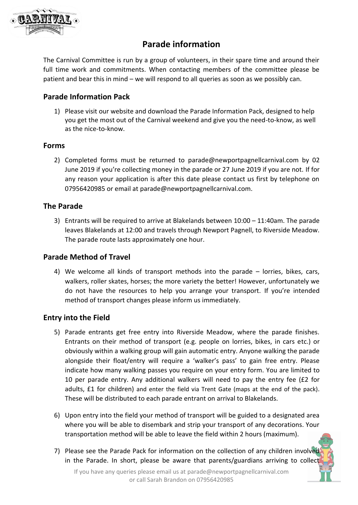

# **Parade information**

The Carnival Committee is run by a group of volunteers, in their spare time and around their full time work and commitments. When contacting members of the committee please be patient and bear this in mind – we will respond to all queries as soon as we possibly can.

# **Parade Information Pack**

1) Please visit our website and download the Parade Information Pack, designed to help you get the most out of the Carnival weekend and give you the need-to-know, as well as the nice-to-know.

### **Forms**

2) Completed forms must be returned to parade@newportpagnellcarnival.com by 02 June 2019 if you're collecting money in the parade or 27 June 2019 if you are not. If for any reason your application is after this date please contact us first by telephone on 07956420985 or email at parade@newportpagnellcarnival.com.

# **The Parade**

3) Entrants will be required to arrive at Blakelands between 10:00 – 11:40am. The parade leaves Blakelands at 12:00 and travels through Newport Pagnell, to Riverside Meadow. The parade route lasts approximately one hour.

# **Parade Method of Travel**

4) We welcome all kinds of transport methods into the parade – lorries, bikes, cars, walkers, roller skates, horses; the more variety the better! However, unfortunately we do not have the resources to help you arrange your transport. If you're intended method of transport changes please inform us immediately.

# **Entry into the Field**

- 5) Parade entrants get free entry into Riverside Meadow, where the parade finishes. Entrants on their method of transport (e.g. people on lorries, bikes, in cars etc.) or obviously within a walking group will gain automatic entry. Anyone walking the parade alongside their float/entry will require a 'walker's pass' to gain free entry. Please indicate how many walking passes you require on your entry form. You are limited to 10 per parade entry. Any additional walkers will need to pay the entry fee (£2 for adults, £1 for children) and enter the field via Trent Gate (maps at the end of the pack). These will be distributed to each parade entrant on arrival to Blakelands.
- 6) Upon entry into the field your method of transport will be guided to a designated area where you will be able to disembark and strip your transport of any decorations. Your transportation method will be able to leave the field within 2 hours (maximum).
- 7) Please see the Parade Pack for information on the collection of any children involved in the Parade. In short, please be aware that parents/guardians arriving to collect